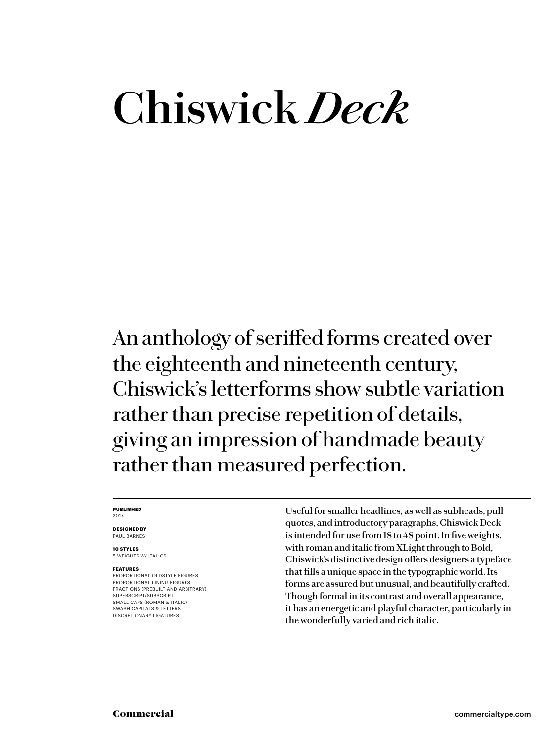# **Chiswick** *Deck*

An anthology of seriffed forms created over the eighteenth and nineteenth century, Chiswick's letterforms show subtle variation rather than precise repetition of details, giving an impression of handmade beauty rather than measured perfection.

#### **PUBLISHED** 2017

**DESIGNED BY** PAUL BARNES

**10 STYLES** 5 WEIGHTS W/ ITALICS

#### **FEATURES**

PROPORTIONAL OLDSTYLE FIGURES PROPORTIONAL LINING FIGURES FRACTIONS (PREBUILT AND ARBITRARY) SUPERSCRIPT/SUBSCRIPT SMALL CAPS (ROMAN & ITALIC) SWASH CAPITALS & LETTERS DISCRETIONARY LIGATURES

Useful for smaller headlines, as well as subheads, pull quotes, and introductory paragraphs, Chiswick Deck is intended for use from 18 to 48 point. In five weights, with roman and italic from XLight through to Bold, Chiswick's distinctive design offers designers a typeface that fills a unique space in the typographic world. Its forms are assured but unusual, and beautifully crafted. Though formal in its contrast and overall appearance, it has an energetic and playful character, particularly in the wonderfully varied and rich italic.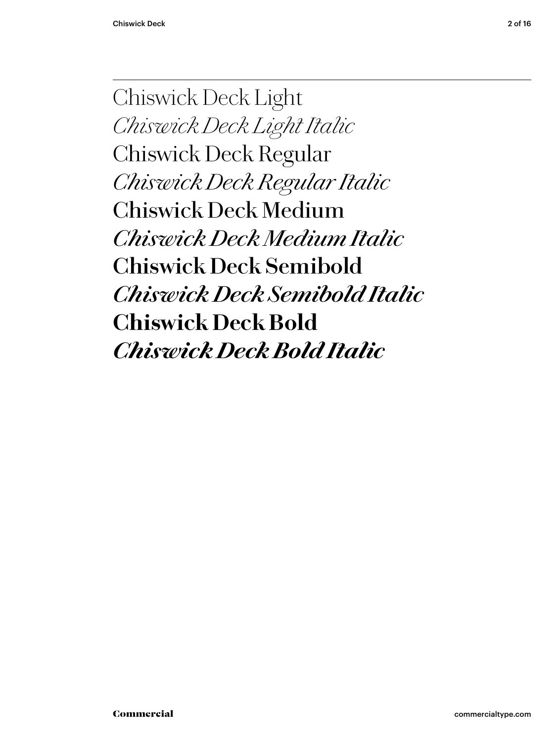Chiswick Deck Light *Chiswick Deck Light Italic* Chiswick Deck Regular *Chiswick Deck Regular Italic* Chiswick Deck Medium *Chiswick Deck Medium Italic* **Chiswick Deck Semibold** *Chiswick Deck Semibold Italic* **Chiswick Deck Bold** *Chiswick Deck Bold Italic*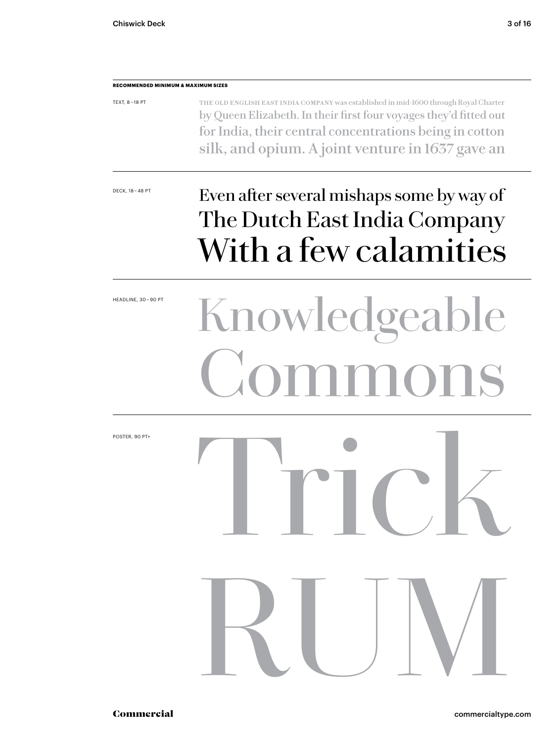#### **RECOMMENDED MINIMUM & MAXIMUM SIZES**

| TEXT, 8-18 PT | THE OLD ENGLISH EAST INDIA COMPANY was established in mid-1600 through Royal Charter |
|---------------|--------------------------------------------------------------------------------------|
|               | by Queen Elizabeth. In their first four voyages they'd fitted out                    |
|               | for India, their central concentrations being in cotton                              |
|               | silk, and opium. A joint venture in 1637 gave an                                     |

## DECK, 18-48 PT Even after several mishaps some by way of The Dutch East India Company With a few calamities

# HEADLINE, 30-90PT<br>Knowledgeable Commons

Trick

RUM

POSTER, 90 PT+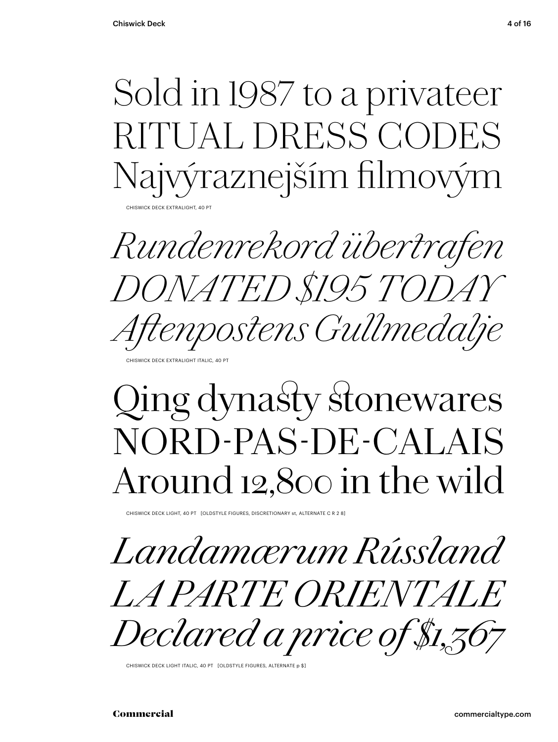Sold in 1987 to a privateer RITUAL DRESS CODES Najvýraznejším filmový

**CHISWICK DECK EXTRALIGHT, 40 PT** 

*Rundenrekord übertrafen DONATED \$195 TODAY Aftenpostens Gullmedalje*

CHISWICK DECK EXTRALIGHT ITALIC, 40

## Qing dynasty stonewares NORD-PAS-DE-CALAIS Around 12,800 in the wild

CHISWICK DECK LIGHT, 40 PT [OLDSTYLE FIGURES, DISCRETIONARY st, ALTERNATE C R 2 8]

*Landamærum Rússland LA PARTE ORIENTALE Declared a price of \$1,367*

CHISWICK DECK LIGHT ITALIC, 40 PT [OLDSTYLE FIGURES, ALTERNATE p \$]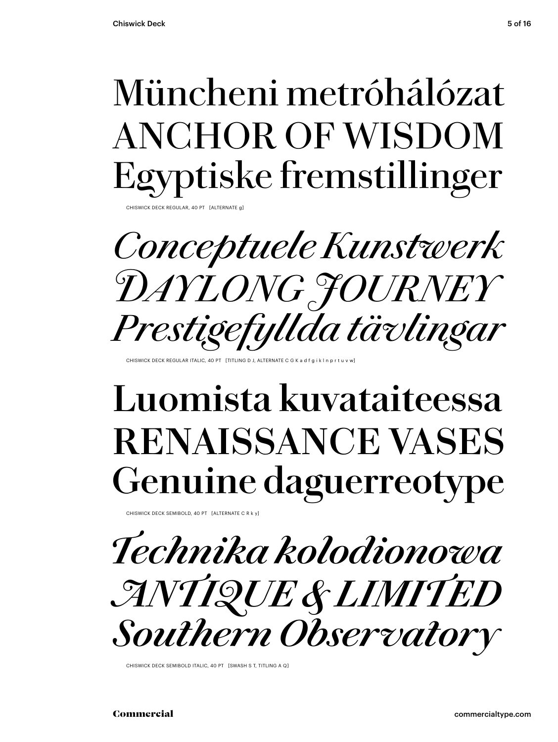## Müncheni metróhálózat ANCHOR OF WISDOM Egyptiske fremstillinger

VICK DECK REGULAR, 40 PT [ALTERNATE

*Conceptuele Kunstwerk DAYLONG JOURNEY Prestigefyllda tävlingar*

HISWICK DECK REGULAR ITALIC, 40 PT [TITLING D J, ALTERNATE C G

## **Luomista kuvataiteessa RENAISSANCE VASES Genuine daguerreotype**

CHISWICK DECK SEMIBOLD, 40 PT [ALTERNATE C R k y]

*Technika kolodionowa ANTIQUE & LIMITED Southern Observatory*

CHISWICK DECK SEMIBOLD ITALIC, 40 PT [SWASH S T, TITLING A Q]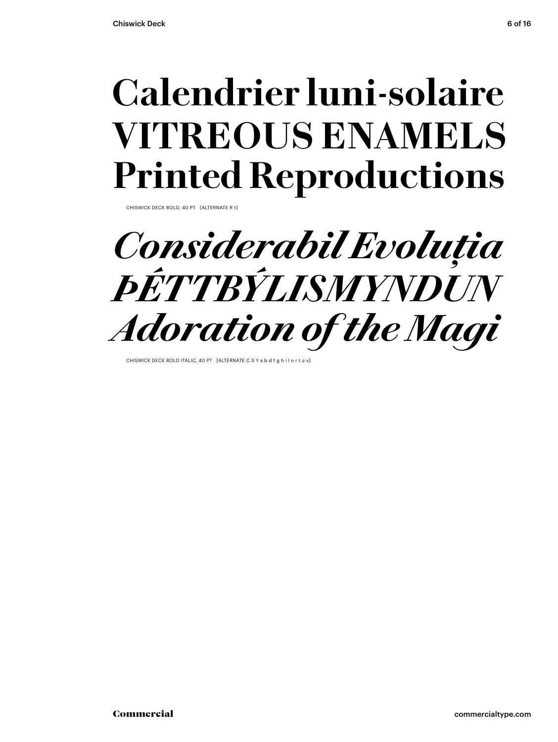## **Calendrier luni-solaire VITREOUS ENAMELS Printed Reproductions**

CHISWICK DECK BOLD, 40 PT [ALTERNATE R t]



CHISWICK DECK BOLD ITALIC, 40 PT [ALTERNATE C S Y a b d f g h i l n r t u v]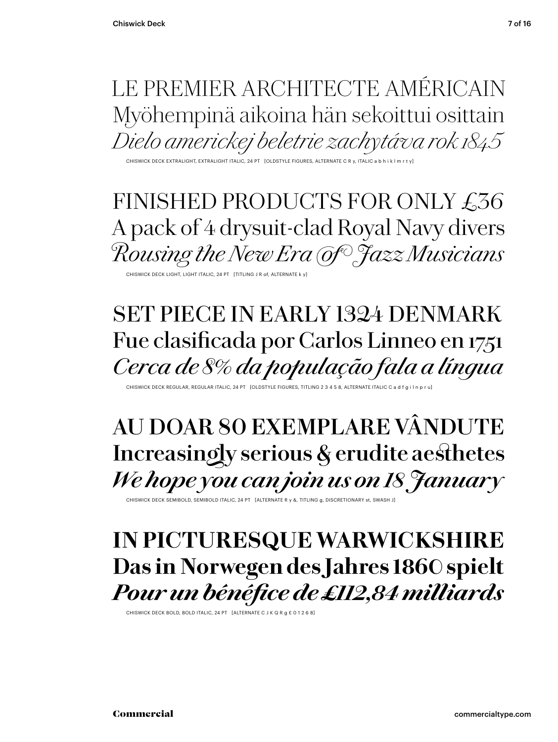## LE PREMIER ARCHITECTE AMÉRICAIN Myöhempinä aikoina hän sekoittui osittain *Dielo americkej beletrie zachytáva rok 1845*

CHISWICK DECK EXTRALIGHT, EXTRALIGHT ITALIC, 24 PT [OLDSTYLE FIGURES, ALTERNATE C R y, ITALIC a b h i k l m r t y]

FINISHED PRODUCTS FOR ONLY £36 A pack of 4 drysuit-clad Royal Navy divers *Rousing the New Era of Jazz Musicians*

CHISWICK DECK LIGHT, LIGHT ITALIC, 24 PT [TITLING J R of, ALTERNATE k y]

## SET PIECE IN EARLY 1324 DENMARK Fue clasificada por Carlos Linneo en 1751 *Cerca de 8% da população fala a língua*

CHISWICK DECK REGULAR, REGULAR ITALIC, 24 PT [OLDSTYLE FIGURES, TITLING 2 3 4 5 8, ALTERNATE ITALIC C a d f g

## **AU DOAR 80 EXEMPLARE VÂNDUTE Increasingly serious & erudite aesthetes** *We hope you can join us on 18 January*

CHISWICK DECK SEMIBOLD, SEMIBOLD ITALIC, 24 PT [ALTERNATE R y &, TITLING g, DISCRETIONARY st, SWASH J]

## **IN PICTURESQUE WARWICKSHIRE Das in Norwegen des Jahres 1860 spielt** *Pour un bénéfice de £112,84 milliards*

CHISWICK DECK BOLD, BOLD ITALIC, 24 PT [ALTERNATE C J K Q R g £ 0 1 2 6 8]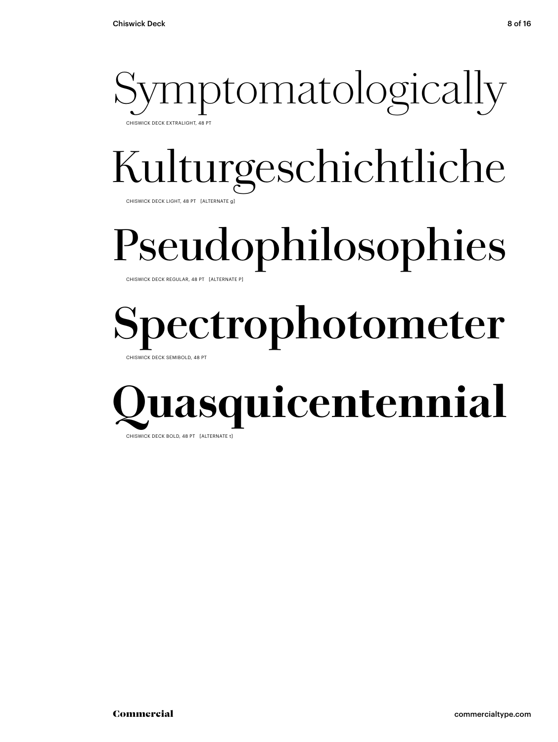

# Kulturgeschichtliche

CHISWICK DECK LIGHT, 48 PT [ALTERNATE g]

# Pseudophilosophies

CHISWICK DECK REGULAR, 48 PT [ALTERNATE P]

# **Spectrophotometer**

CHISWICK DECK SEMIBOLD, 48 PT

## **asquicentennial** CHISWICK DECK BOLD, 48 PT [ALTERNATE t]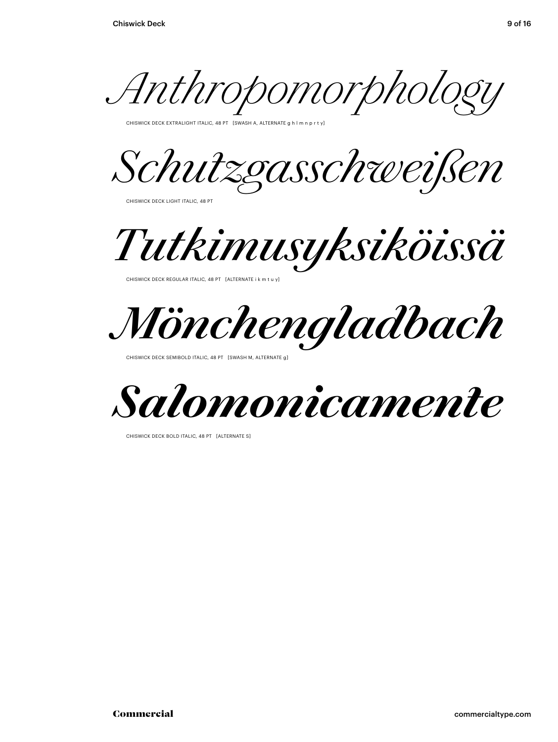*Anthropomorphology*

CHISWICK DECK EXTRALIGHT ITALIC, 48 PT [SWASH A, ALTERNATE g h l m n p r t y]

*Schutzgasschweißen*

CHISWICK DECK LIGHT ITALIC, 48 PT

*Tutkimusyksiköissä*

CHISWICK DECK REGULAR ITALIC, 48 PT [ALTERNATE i k m t u y]

*Mönchengladbach*

CHISWICK DECK SEMIBOLD ITALIC, 48 PT [SWASH M, ALTERNATE g]



CHISWICK DECK BOLD ITALIC, 48 PT [ALTERNATE S]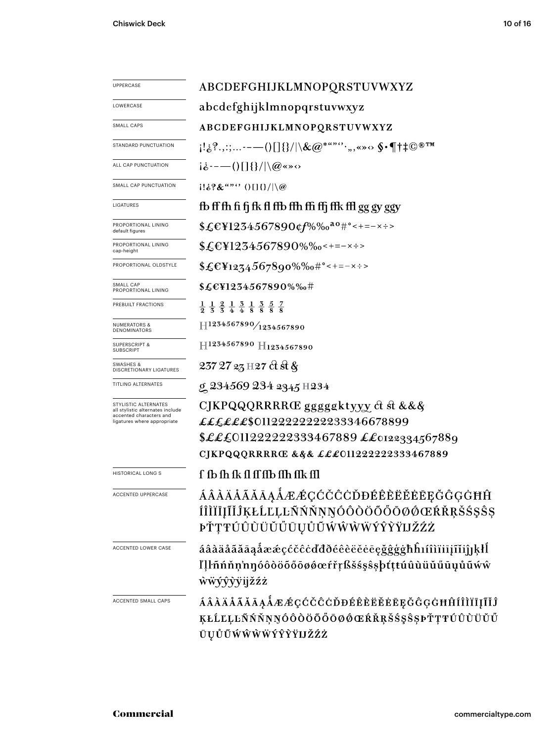| UPPERCASE                                                                                                          | ABCDEFGHIJKLMNOPQRSTUVWXYZ                                                                                                                                 |  |  |  |
|--------------------------------------------------------------------------------------------------------------------|------------------------------------------------------------------------------------------------------------------------------------------------------------|--|--|--|
| LOWERCASE                                                                                                          | abcdefghijklmnopqrstuvwxyz                                                                                                                                 |  |  |  |
| SMALL CAPS                                                                                                         | ABCDEFGHIJKLMNOPQRSTUVWXYZ                                                                                                                                 |  |  |  |
| STANDARD PUNCTUATION                                                                                               | $[1\&8\%,::,--()[\] \{\}/ \&@^{***\cdots},\_{\infty} \diamond \S \cdot \P \dagger \ddagger \mathbb{C}^{\circledast \mathrm{TM}}$                           |  |  |  |
| ALL CAP PUNCTUATION                                                                                                | $i\dot{\delta}$ ----()[]{}/ \@«»<>                                                                                                                         |  |  |  |
| SMALL CAP PUNCTUATION                                                                                              | $1! \&? \&$ "" $0 \cup \{\} / \&$                                                                                                                          |  |  |  |
| LIGATURES                                                                                                          | fb ff fh fi fj fk fl ffb ffh ffi ffj ffk ffl gg gy ggy                                                                                                     |  |  |  |
| PROPORTIONAL LINING<br>default figures                                                                             | \$£E¥1234567890¢f%‰ <sup>ao</sup> #°<+=-×÷>                                                                                                                |  |  |  |
| PROPORTIONAL LINING<br>cap-height                                                                                  | $$£EY1234567890\%$ %0 < + = - x ÷ >                                                                                                                        |  |  |  |
| PROPORTIONAL OLDSTYLE                                                                                              | $$£EY1274567890\%$ %+-----                                                                                                                                 |  |  |  |
| SMALL CAP<br>PROPORTIONAL LINING                                                                                   | \$£€¥1234567890%‰#                                                                                                                                         |  |  |  |
| PREBUILT FRACTIONS                                                                                                 | $\frac{1}{9}$ $\frac{1}{5}$ $\frac{2}{5}$ $\frac{1}{4}$ $\frac{3}{4}$ $\frac{1}{8}$ $\frac{3}{8}$ $\frac{5}{8}$ $\frac{7}{8}$                              |  |  |  |
| <b>NUMERATORS &amp;</b><br>DENOMINATORS                                                                            | $\rm H^{1234567890}/_{1234567890}$                                                                                                                         |  |  |  |
| <b>SUPERSCRIPT &amp;</b><br><b>SUBSCRIPT</b>                                                                       | H1234567890 H1234567890                                                                                                                                    |  |  |  |
| SWASHES &<br><b>DISCRETIONARY LIGATURES</b>                                                                        | 237 27 23 H 27 ct st &                                                                                                                                     |  |  |  |
| TITLING ALTERNATES                                                                                                 | g 234569 234 2345 H234                                                                                                                                     |  |  |  |
| STYLISTIC ALTERNATES<br>all stylistic alternates include<br>accented characters and<br>ligatures where appropriate | CJKPQQQRRRRŒ gggggktyyy ct st &&&<br>££££££\$0112222222233346678899<br>\$£££011222222333467889 ££0122334567889<br>CJKPQQQRRRRŒ & § & £££011222222333467889 |  |  |  |
| <b>HISTORICAL LONG S</b>                                                                                           | f fb fh fk fl ff ffb ffh ffk ffl                                                                                                                           |  |  |  |
| ACCENTED UPPERCASE                                                                                                 | ÁÂÀÄÅÃĂĀĄÅÆÆÇĆČĈĊĎĐÉÊÈËĔĖĒĘĞĜĢĠĦĤ<br>ÍÎÌÏĪĮĨĬĴĶŁĹĽĻĿÑŃŇŅŊÓÔÒÖŐŐŌØØŒŔŘŖŠŚŞŜŞ<br>ÞŤŢŦÚÛÙÜŬŰŨŲŮŨŴŴŴŴŶŶŸIJŽŹŻ                                                  |  |  |  |
| ACCENTED LOWER CASE                                                                                                | áâàäåãããąåææçćčĉċďđðéêèëĕėēęğĝġġħĥıíîìïiijĩĭiĵıķłĺ<br>ľļŀñńňņ'nŋóôòöőőøøœŕřŗßšśşŝşþťţŧúûùüŭűūụůũẃŵ<br><b>wwyyyyijžźż</b>                                   |  |  |  |
| ACCENTED SMALL CAPS                                                                                                | <i>ÁÂÀÄÅÃĂĀĄÅÆÆÇĆČĈĊĎĐÉÊÈËĚĖĒĘĞĜĢĠĦĤÍÎÌÏĮĨĬĴ</i><br>ĶŁĹĽĻĿÑŃŇŅŊÓÔŎŎŐŐŌØŐŒŔŘŖŠŚŞŜŞÞŤŢŦÚÛÙŬŬŰ<br>ŪŲŮŨŴŴŴŴÝŶŶŸIJŽŹŻ                                           |  |  |  |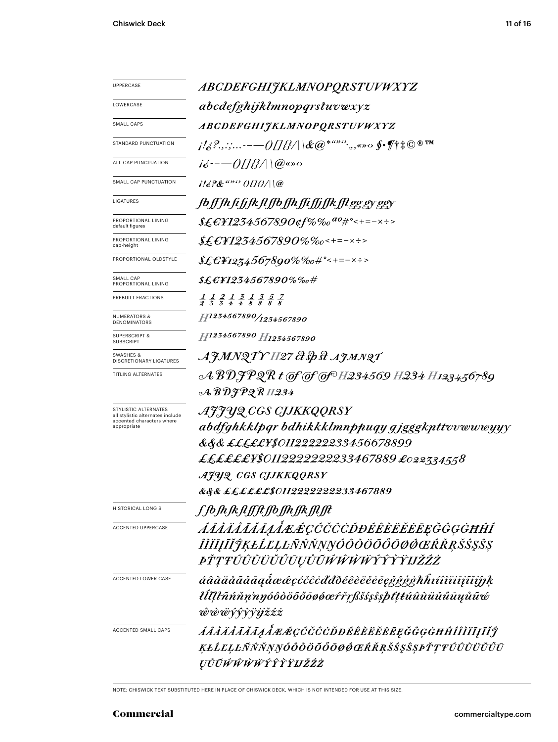| UPPERCASE                                                | <i>ABCDEFGHIJKLMNOPQRSTUVWXYZ</i>                                                                                                                                                                                  |  |  |
|----------------------------------------------------------|--------------------------------------------------------------------------------------------------------------------------------------------------------------------------------------------------------------------|--|--|
| LOWERCASE                                                | abcdefghijklmnopqrstuvwxyz                                                                                                                                                                                         |  |  |
| <b>SMALL CAPS</b>                                        | ABCDEFGHIJKLMNOPQRSTUVWXYZ                                                                                                                                                                                         |  |  |
| STANDARD PUNCTUATION                                     | $\mu^{\prime}$ ili $\ell^2$ .,.;- $-\alpha$ ()[] if $\ell$ $ \mathcal{X} $ $ \mathcal{X} $ $\alpha^{*a\cdot \alpha}$ , , , , , , , $\delta$ of $\eta$ $\uparrow$ $\uparrow$ $\mathbb{C}$ $\mathbb{R}^{\mathbb{N}}$ |  |  |
| ALL CAP PUNCTUATION                                      | $i\dot{\delta}$ ---()[[{}/ \@«» $\circ$                                                                                                                                                                            |  |  |
| SMALL CAP PUNCTUATION                                    | $116$ ?&"" (IIB/\\@                                                                                                                                                                                                |  |  |
| LIGATURES                                                | <i>foffhfifjkflffofhfiffffkfleggyggy</i>                                                                                                                                                                           |  |  |
| PROPORTIONAL LINING<br>default figures                   | \$£€¥1234567890¢f%‰ <sup>ao</sup> #°<+=-×÷>                                                                                                                                                                        |  |  |
| PROPORTIONAL LINING<br>cap-height                        | $$£$ £¥1234567890% $\%$ o<+=-×÷>                                                                                                                                                                                   |  |  |
| PROPORTIONAL OLDSTYLE                                    | $$£EY1274567890\%%o#°<+=-x:>$                                                                                                                                                                                      |  |  |
| SMALL CAP<br>PROPORTIONAL LINING                         | $\text{\it X\&C\&1234567890\% \%o\#}$                                                                                                                                                                              |  |  |
| PREBUILT FRACTIONS                                       | $\frac{1}{2}$ $\frac{1}{3}$ $\frac{2}{3}$ $\frac{1}{4}$ $\frac{3}{8}$ $\frac{1}{8}$ $\frac{3}{8}$ $\frac{5}{8}$ $\frac{7}{8}$                                                                                      |  |  |
| <b>NUMERATORS &amp;</b><br>DENOMINATORS                  | H1234567890/1234567890                                                                                                                                                                                             |  |  |
| <b>SUPERSCRIPT &amp;</b><br><b>SUBSCRIPT</b>             | H1234567890 H1234567890                                                                                                                                                                                            |  |  |
| SWASHES &<br><b>DISCRETIONARY LIGATURES</b>              | AJMNQTY H27 & Sp st AJMNQT                                                                                                                                                                                         |  |  |
| TITLING ALTERNATES                                       |                                                                                                                                                                                                                    |  |  |
|                                                          | $\mathcal{A}\, \mathcal{B}\, \mathcal{D} \mathcal{F} \mathcal{P} \mathcal{Q} \, \mathcal{R}$ H234                                                                                                                  |  |  |
| STYLISTIC ALTERNATES<br>all stylistic alternates include | AJJYQ CGS CJJKKQQRSY                                                                                                                                                                                               |  |  |
| accented characters where<br>appropriate                 | abdfghkklpgr bdhikkklmnppuqy gjgggkpttvvwwwyyy                                                                                                                                                                     |  |  |
|                                                          | &&& <i>£££££¥\$01122222233456678899</i>                                                                                                                                                                            |  |  |
|                                                          | ££££££¥\$0112222222233467889 £022334558                                                                                                                                                                            |  |  |
|                                                          | AJUQ CGS CJJKKQQRSY                                                                                                                                                                                                |  |  |
|                                                          | &&& <i>££££££\$0112222222233467889</i>                                                                                                                                                                             |  |  |
| <b>HISTORICAL LONG S</b>                                 | ſſb <i>ſ</i> nſĸ <i>ſŧſſſŧſſ</i> bſſnſſĸſſIJt                                                                                                                                                                      |  |  |
| <b>ACCENTED UPPERCASE</b>                                | ÁÂÀÄÅĂĂĀĄÅÆÆÇĆČĈĊĎĐÉÊÈËĔĔĒĘĞĜĢĠĦĤÍ                                                                                                                                                                                 |  |  |
|                                                          | ÎĬĬĪĮĨĬŶĶŁĹĽĻĿÑŃŇŅŊÓÔŎŎŎŎŌØŒŔŘŖŠŚŞŜŞ                                                                                                                                                                               |  |  |
|                                                          | <i>ÞŤŢŦÚÛŨŨŬŬŰŪŲŮŨŴŴŴŴŶŶŶŸIJŽŹŻ</i>                                                                                                                                                                                |  |  |
| ACCENTED LOWER CASE                                      | áâàäåãããagåææçćčĉcďđðéêèëĕēegğĝģġħĥıíîìïiīįĩiĵĵķ                                                                                                                                                                   |  |  |
|                                                          | łĺllŀñńňn'nŋóôòöõőōøøœŕřŗßšśşŝşþťţŧúûùüŭűūųůũ¢                                                                                                                                                                     |  |  |
|                                                          | ŵŵŵŷŷỳïijžźż                                                                                                                                                                                                       |  |  |
| ACCENTED SMALL CAPS                                      | ÁÂÀÄÅÃĂĀĄÅÆÆÇĆČĈÒĐÉÊÈĔĔĔĘĞĜĢĠĦĤÍÎÌĬĪĮĨĬĴ                                                                                                                                                                           |  |  |
|                                                          | ĶŁĹĽĻĿÑŃŇŅŊÓÔŎŎŎŎŎØŎŒŔŘŖŠŚŞŜŞÞŤŢŦÚÛÙÜŬŰŪ                                                                                                                                                                           |  |  |
|                                                          | ŲŮŨŴŴŴŴŶŶŶŸIJŽŹŻ                                                                                                                                                                                                   |  |  |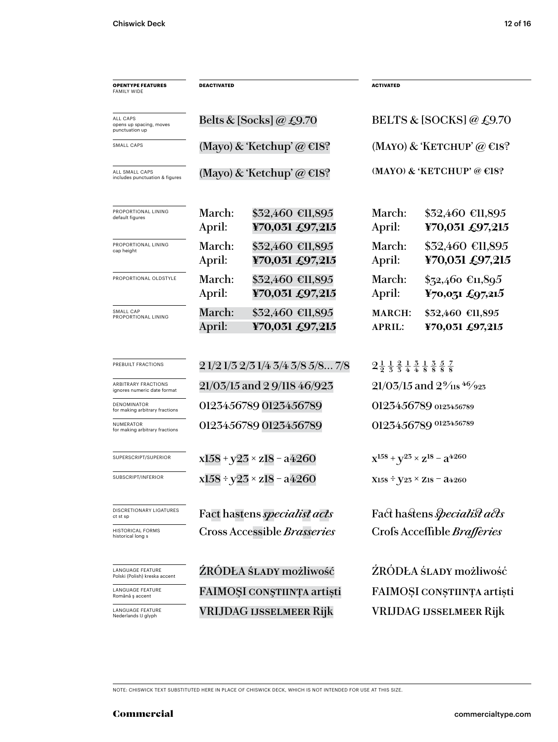| <b>OPENTYPE FEATURES</b><br><b>FAMILY WIDE</b>           | <b>DEACTIVATED</b>                 |                                     | <b>ACTIVATED</b>                                                                                                               |                                                   |  |
|----------------------------------------------------------|------------------------------------|-------------------------------------|--------------------------------------------------------------------------------------------------------------------------------|---------------------------------------------------|--|
| ALL CAPS<br>opens up spacing, moves<br>punctuation up    |                                    | Belts & [Socks] @ £9.70             | BELTS & [SOCKS] @ $£9.70$                                                                                                      |                                                   |  |
| <b>SMALL CAPS</b>                                        |                                    | (Mayo) & 'Ketchup' @ $\in$ 18?      |                                                                                                                                | (MAYO) & 'KETCHUP' @ $\in$ 18?                    |  |
| ALL SMALL CAPS<br>includes punctuation & figures         | (Mayo) & 'Ketchup' @ $\in$ 18?     |                                     |                                                                                                                                | (MAYO) & 'KETCHUP' @ $E$ 18?                      |  |
| PROPORTIONAL LINING<br>default figures                   | March:<br>April:                   | \$32,460 €11,895<br>¥70,031 £97,215 | March:<br>April:                                                                                                               | $$32,460$ €11,895<br>¥70,031 £97,215              |  |
| PROPORTIONAL LINING<br>cap height                        | March:<br>April:                   | \$32,460 €11,895<br>¥70,031 £97,215 | March:<br>April:                                                                                                               | $$32,460$ €11,895<br>¥70,031 £97,215              |  |
| PROPORTIONAL OLDSTYLE                                    | March:<br>April:                   | \$32,460 €11,895<br>¥70,031 £97,215 | March:<br>April:                                                                                                               | $$72,460$ €11,895<br>$\frac{1}{2}$ 70,031 £97,215 |  |
| SMALL CAP<br>PROPORTIONAL LINING                         | March:<br>April:                   | \$32,460 €11,895<br>¥70,031 £97,215 | <b>MARCH:</b><br><b>APRIL:</b>                                                                                                 | \$32,460 €11,895<br>¥70,031 £97,215               |  |
| PREBUILT FRACTIONS                                       | 2 1/2 1/3 2/3 1/4 3/4 3/8 5/8 7/8  |                                     | $2\frac{1}{2}$ $\frac{1}{3}$ $\frac{2}{4}$ $\frac{1}{4}$ $\frac{3}{8}$ $\frac{1}{8}$ $\frac{3}{8}$ $\frac{5}{8}$ $\frac{7}{8}$ |                                                   |  |
| ARBITRARY FRACTIONS<br>ignores numeric date format       | 21/03/15 and 2 9/118 46/923        |                                     | $21/03/15$ and $2\frac{9}{18}$ 46/923                                                                                          |                                                   |  |
| <b>DENOMINATOR</b><br>for making arbitrary fractions     | 0123456789 0123456789              |                                     | 0123456789 0123456789                                                                                                          |                                                   |  |
| NUMERATOR<br>for making arbitrary fractions              | 0123456789 0123456789              |                                     | 0123456789 0123456789                                                                                                          |                                                   |  |
| SUPERSCRIPT/SUPERIOR                                     | $x158 + y23 \times z18 - a4260$    |                                     |                                                                                                                                | $X^{158} + Y^{25} \times Z^{18} - Z^{4260}$       |  |
| SUBSCRIPT/INFERIOR                                       | $x158 \div y23 \times z18 - a4260$ |                                     | $X158 \div V23 \times Z18 = 24260$                                                                                             |                                                   |  |
| <b>DISCRETIONARY LIGATURES</b><br>ct st sp               |                                    | Fact hastens <i>specialist acts</i> |                                                                                                                                | Fact hastens <i>specialist acts</i>               |  |
| <b>HISTORICAL FORMS</b><br>historical long s             | Cross Accessible Brasseries        |                                     |                                                                                                                                | Crofs Acceffible <i>Brafferies</i>                |  |
| <b>LANGUAGE FEATURE</b><br>Polski (Polish) kreska accent |                                    | ŹRÓDŁA ŚLADY możliwość              |                                                                                                                                | ŹRÓDŁA ŚLADY możliwość                            |  |
| <b>LANGUAGE FEATURE</b><br>Română ș accent               |                                    | FAIMOȘI CONȘTIINȚA artiști          | FAIMOȘI CONȘTIINȚA artiști                                                                                                     |                                                   |  |
| LANGUAGE FEATURE<br>Nederlands IJ glyph                  | <b>VRIJDAG IJSSELMEER Rijk</b>     |                                     |                                                                                                                                | <b>VRIJDAG IJSSELMEER Rijk</b>                    |  |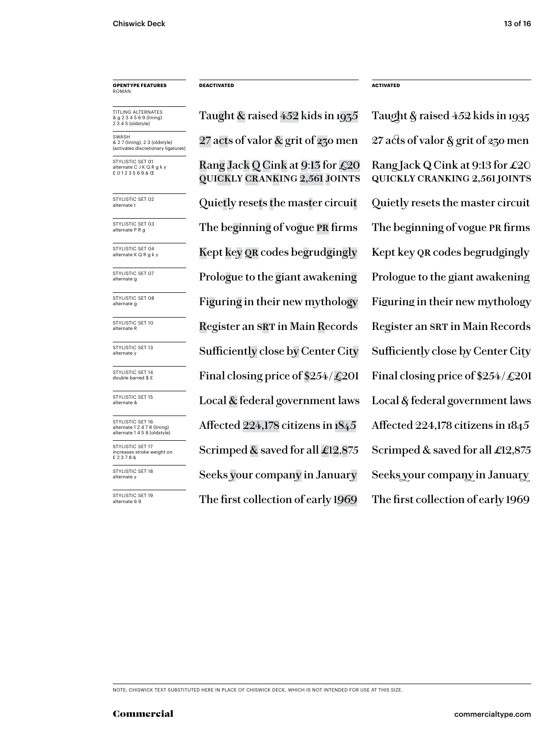### **OPENTYPE FEATURES** ROMAN

TITLING ALTERNATES & g 2 3 4 5 6 9 (lining) 2 3 4 5 (oldstyle)

SWASH & 2 7 (lining), 2 3 (oldstyle) (activates discretionary ligatures)

STYLISTIC SET 01 nate C J K Q R g k y £ 0 1 2 3 5 6 9 & Œ

STYLISTIC SET 02<br>alternate t

STYLISTIC SET 03<br>alternate P R g

STYLISTIC SET 04<br>alternate K Q R g k y

STYLISTIC SET 07<br>alternate g

STYLISTIC SET 08<br>alternate g

STYLISTIC SET 10<br>alternate R

STYLISTIC SET 13<br>alternate y

STYLISTIC SET 14<br>double barred \$ £

STYLISTIC SET 15<br>alternate &

STYLISTIC SET 16 alternate 1 2 4 7 8 (lining) alternate 1 4 5 8 (oldstyle) STYLISTIC SET 17

increases stroke weight on £ 2 3 7 8 &

STYLISTIC SET 18<br>alternate y

STYLISTIC SET 19<br>alternate 6 9

Rang Jack Q Cink at 9:13 for £20 quickly cranking 2,561 joints 27 acts of valor & grit of 230 men 27 acts of valor & grit of 230 men Quietly resets the master circuit  $\quad$  Quietly resets the master circuit The beginning of vogue PR firms The beginning of vogue PR firms Kept key QR codes begrudgingly Kept key QR codes begrudgingly Prologue to the giant awakening Prologue to the giant awakening Figuring in their new mythology Figuring in their new mythology Register an SRT in Main Records Register an SRT in Main Records Final closing price of  $$254/\text{\textsterling}201$  Final closing price of  $$254/\text{\textsterling}201$ Local  $\&$  federal government laws Local  $\&$  federal government laws Affected 224,178 citizens in 1845 Affected 224,178 citizens in 1845 Scrimped & saved for all  $\pounds$ 12,875 Scrimped & saved for all  $\pounds$ 12,875 The first collection of early 1969 The first collection of early 1969 Sufficiently close by Center City Sufficiently close by Center City Seeks your company in January Seeks your company in January

**DEACTIVATED ACTIVATED**

Taught & raised 452 kids in 1935 Taught & raised 452 kids in 1935 Rang Jack Q Cink at 9:13 for  $\pounds 20$ quickly cranking 2,561 joints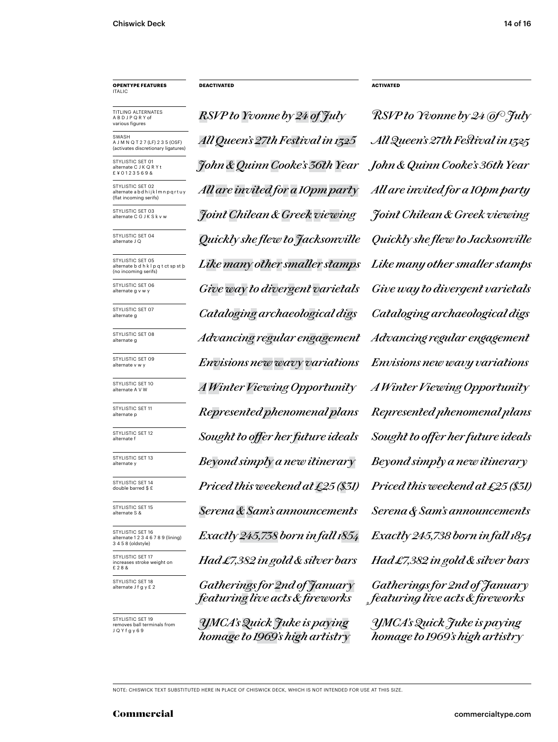### **OPENTYPE FEATURES** ITALIC

TITLING ALTERNATES A B D J P Q R Y of various figures

**SWASH** A J M N Q T 2 7 (LF) 2 3 5 (OSF)<br>(activates discretionary ligatures) (activates discretic

STYLISTIC SET 01 ate C J K Q R Y t £ ¥ 0 1 2 3 5 6 9 &

STYLISTIC SET 02 alternate a b d h i j k l m n p q r t u y (flat incoming serifs)

STYLISTIC SET 03<br>alternate C G J K S k v w

STYLISTIC SET 04

STYLISTIC SET 05 alternate b d h k l p q t ct sp st þ (no incoming serifs)

STYLISTIC SET 06<br>alternate g v w y

STYLISTIC SET 07

STYLISTIC SET 08<br>alternate g

STYLISTIC SET 09<br>alternate v w v

STYLISTIC SET 10<br>alternate A V W

STYLISTIC SET 11<br>alternate p

STYLISTIC SET 12<br>alternate f

STYLISTIC SET 13<br>alternate v

STYLISTIC SET 14<br>double barred \$ £

STYLISTIC SET 15<br>alternate S &

STYLISTIC SET 16 alternate 1 2 3 4 6 7 8 9 (lining) 3 4 5 8 (oldstyle) STYLISTIC SET 17 increases stroke weight on

£ 2 8 & STYLISTIC SET 18<br>alternate J f q y £ 2

STYLISTIC SET 19 ves ball terminals from J Q Y f g y 6 9

*RSVP to Yvonne by 24 of July RSVP to Yvonne by 24 of July John & Quinn Cooke's 36th Year John & Quinn Cooke's 36th Year All Queen's 27th Festival in 1325 All Queen's 27th Festival in 1325 All are invited for a 10pm party All are invited for a 10pm party* alternate C G J K S k v w *Joint Chilean & Greek viewing Joint Chilean & Greek viewing* alternate J Q *Quickly she flew to Jacksonville Quickly she flew to Jacksonville Like many other smaller stamps Like many other smaller stamps* Give way to divergent varietals Give way to divergent varietals alternate g *Cataloging archaeological digs Cataloging archaeological digs* alternate g *Advancing regular engagement Advancing regular engagement* alternate v w y *Envisions new wavy variations Envisions new wavy variations* alternate p *Represented phenomenal plans Represented phenomenal plans Priced this weekend at £25 (\$31) Priced this weekend at £25 (\$31)* alternate S & *Serena & Sam's announcements Serena & Sam's announcements Exactly 245,738 born in fall 1854 Had £7,382 in gold & silver bars* alternate A V W *A Winter Viewing Opportunity A Winter Viewing Opportunity*  $Sought$  to offer her future ideals  $Sought$  to offer her future ideals alternate y *Beyond simply a new itinerary Beyond simply a new itinerary*

> alternate J f g y £ 2 *Gatherings for 2nd of January featuring live acts & fireworks*

*YMCA'sQuick Juke is paying homage to 1969's high artistry*

**DEACTIVATED ACTIVATED**

*Exactly 245,738 born in fall 1854 Had �7,382 in gold & silver bars YMCA's Quick Juke is paying Gatherings for �nd of January featuring live acts & fireworks*

*homage to 1969's high artistry*

NOTE: CHISWICK TEXT SUBSTITUTED HERE IN PLACE OF CHISWICK DECK, WHICH IS NOT INTENDED FOR USE AT THIS SIZE.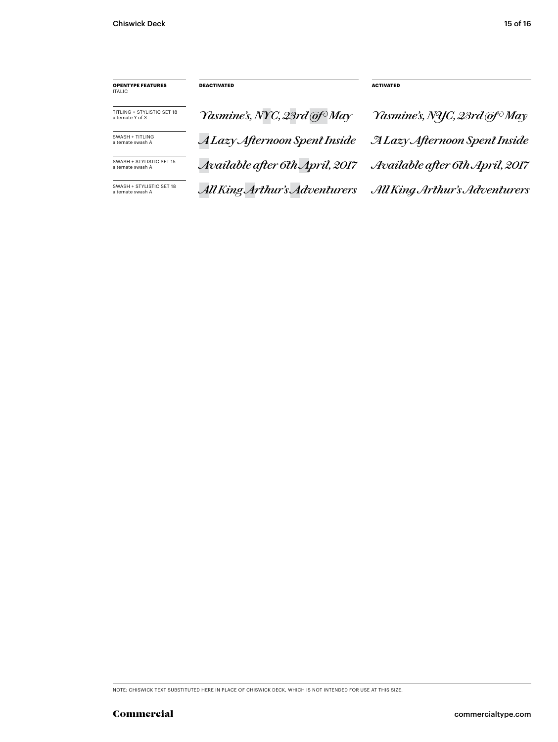| <b>OPENTYPE FEATURES</b><br>ITALIC              | <b>DEACTIVATED</b>              | <b>ACTIVATED</b>                         |
|-------------------------------------------------|---------------------------------|------------------------------------------|
| TITI ING + STYLISTIC SFT 18<br>alternate Y of 3 | Yasmine's, NYC, 23rd of May     | Yasmine's, NYC, 23rd @f <sup>o</sup> May |
| SWASH + TITI ING<br>alternate swash A           | A Lazy Afternoon Spent Inside   | <b>ALazy Afternoon Spent Inside</b>      |
| SWASH + STYLISTIC SFT 15<br>alternate swash A   | Available after 6th April, 2017 | Available after 6th April, 2017          |
| SWASH + STYLISTIC SET 18<br>alternate swash A   | All King Arthur's Adventurers   | All King Arthur's Adventurers            |